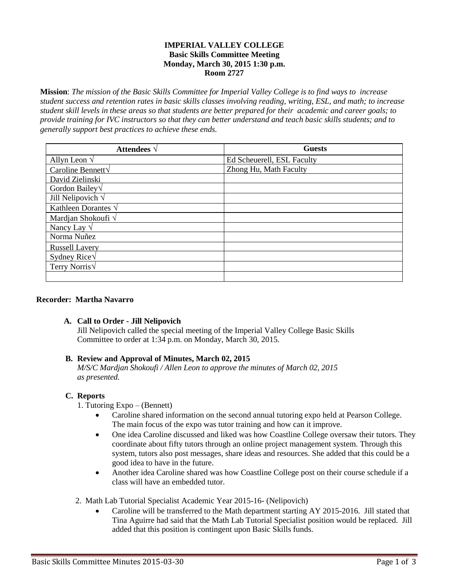#### **IMPERIAL VALLEY COLLEGE Basic Skills Committee Meeting Monday, March 30, 2015 1:30 p.m. Room 2727**

**Mission**: *The mission of the Basic Skills Committee for Imperial Valley College is to find ways to increase student success and retention rates in basic skills classes involving reading, writing, ESL, and math; to increase student skill levels in these areas so that students are better prepared for their academic and career goals; to provide training for IVC instructors so that they can better understand and teach basic skills students; and to generally support best practices to achieve these ends.*

| Attendees $\vee$            | <b>Guests</b>              |
|-----------------------------|----------------------------|
| Allyn Leon $\sqrt{}$        | Ed Scheuerell, ESL Faculty |
| Caroline Bennett√           | Zhong Hu, Math Faculty     |
| David Zielinski             |                            |
| Gordon Bailey $\sqrt$       |                            |
| Jill Nelipovich $\sqrt{}$   |                            |
| Kathleen Dorantes $\sqrt{}$ |                            |
| Mardjan Shokoufi $\sqrt{}$  |                            |
| Nancy Lay $\sqrt$           |                            |
| Norma Nuñez                 |                            |
| <b>Russell Lavery</b>       |                            |
| Sydney Rice $\sqrt$         |                            |
| Terry Norris $\sqrt$        |                            |
|                             |                            |

## **Recorder: Martha Navarro**

## **A. Call to Order - Jill Nelipovich**

Jill Nelipovich called the special meeting of the Imperial Valley College Basic Skills Committee to order at 1:34 p.m. on Monday, March 30, 2015.

## **B. Review and Approval of Minutes, March 02, 2015**

*M/S/C Mardjan Shokoufi / Allen Leon to approve the minutes of March 02, 2015 as presented.*

## **C. Reports**

1. Tutoring Expo – (Bennett)

- Caroline shared information on the second annual tutoring expo held at Pearson College. The main focus of the expo was tutor training and how can it improve.
- One idea Caroline discussed and liked was how Coastline College oversaw their tutors. They coordinate about fifty tutors through an online project management system. Through this system, tutors also post messages, share ideas and resources. She added that this could be a good idea to have in the future.
- Another idea Caroline shared was how Coastline College post on their course schedule if a class will have an embedded tutor.
- 2. Math Lab Tutorial Specialist Academic Year 2015-16- (Nelipovich)
	- Caroline will be transferred to the Math department starting AY 2015-2016. Jill stated that Tina Aguirre had said that the Math Lab Tutorial Specialist position would be replaced. Jill added that this position is contingent upon Basic Skills funds.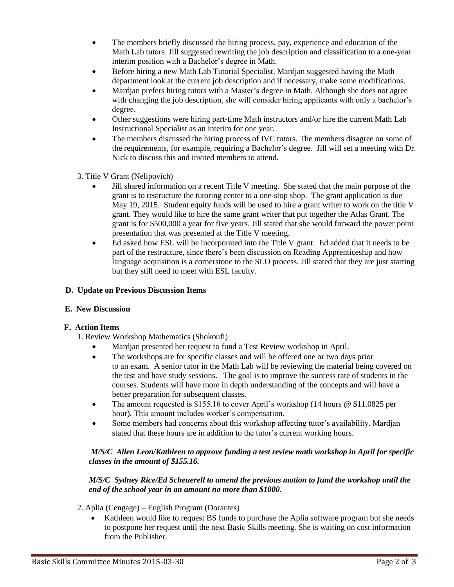- The members briefly discussed the hiring process, pay, experience and education of the Math Lab tutors. Jill suggested rewriting the job description and classification to a one-year interim position with a Bachelor's degree in Math.
- Before hiring a new Math Lab Tutorial Specialist, Mardjan suggested having the Math department look at the current job description and if necessary, make some modifications.
- Mardjan prefers hiring tutors with a Master's degree in Math. Although she does not agree with changing the job description, she will consider hiring applicants with only a bachelor's degree.
- Other suggestions were hiring part-time Math instructors and/or hire the current Math Lab Instructional Specialist as an interim for one year.
- The members discussed the hiring process of IVC tutors. The members disagree on some of the requirements, for example, requiring a Bachelor's degree. Jill will set a meeting with Dr. Nick to discuss this and invited members to attend.
- 3. Title V Grant (Nelipovich)
	- Jill shared information on a recent Title V meeting. She stated that the main purpose of the grant is to restructure the tutoring center to a one-stop shop. The grant application is due May 19, 2015. Student equity funds will be used to hire a grant writer to work on the title V grant. They would like to hire the same grant writer that put together the Atlas Grant. The grant is for \$500,000 a year for five years. Jill stated that she would forward the power point presentation that was presented at the Title V meeting.
	- Ed asked how ESL will be incorporated into the Title V grant. Ed added that it needs to be part of the restructure, since there's been discussion on Reading Apprenticeship and how language acquisition is a cornerstone to the SLO process. Jill stated that they are just starting but they still need to meet with ESL faculty.

#### **D. Update on Previous Discussion Items**

## **E. New Discussion**

## **F. Action Items**

- 1. Review Workshop Mathematics (Shokoufi)
	- Mardjan presented her request to fund a Test Review workshop in April.
	- The workshops are for specific classes and will be offered one or two days prior to an exam. A senior tutor in the Math Lab will be reviewing the material being covered on the test and have study sessions. The goal is to improve the success rate of students in the courses. Students will have more in depth understanding of the concepts and will have a better preparation for subsequent classes.
	- The amount requested is \$155.16 to cover April's workshop (14 hours @ \$11.0825 per hour). This amount includes worker's compensation.
	- Some members had concerns about this workshop affecting tutor's availability. Mardjan stated that these hours are in addition to the tutor's current working hours.

## *M/S/C Allen Leon/Kathleen to approve funding a test review math workshop in April for specific classes in the amount of \$155.16.*

#### *M/S/C Sydney Rice/Ed Scheuerell to amend the previous motion to fund the workshop until the end of the school year in an amount no more than \$1000.*

- 2. Aplia (Cengage) English Program (Dorantes)
	- Kathleen would like to request BS funds to purchase the Aplia software program but she needs to postpone her request until the next Basic Skills meeting. She is waiting on cost information from the Publisher.